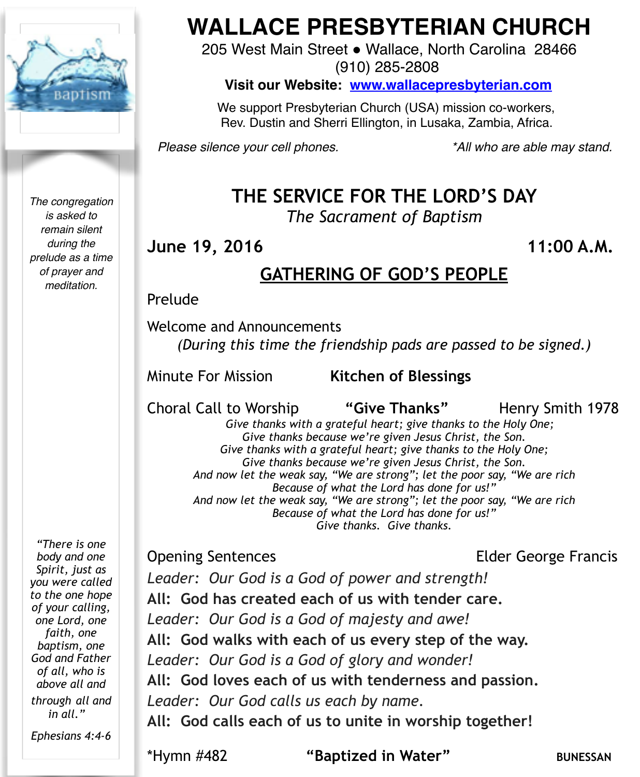

*The congregation is asked to remain silent during the prelude as a time of prayer and meditation.*

*"There is one body and one Spirit, just as you were called to the one hope of your calling, one Lord, one faith, one baptism, one God and Father of all, who is above all and through all and in all."* 

*Ephesians 4:4-6*

# **WALLACE PRESBYTERIAN CHURCH**

205 West Main Street . Wallace, North Carolina 28466 (910) 285-2808

**Visit our Website: [www.wallacepresbyterian.com](http://www.wallacepresbyterian.com)**

 We support Presbyterian Church (USA) mission co-workers, Rev. Dustin and Sherri Ellington, in Lusaka, Zambia, Africa.

*Please silence your cell phones. \*All who are able may stand.*

## **THE SERVICE FOR THE LORD'S DAY**

*The Sacrament of Baptism* 

**June 19, 2016** 11:00 A.M.

## **GATHERING OF GOD'S PEOPLE**

#### Prelude

Welcome and Announcements *(During this time the friendship pads are passed to be signed.)* 

Minute For Mission **Kitchen of Blessings ! !** 

Choral Call to Worship **"Give Thanks"** Henry Smith 1978

 *Give thanks with a grateful heart; give thanks to the Holy One; Give thanks because we're given Jesus Christ, the Son. Give thanks with a grateful heart; give thanks to the Holy One; Give thanks because we're given Jesus Christ, the Son. And now let the weak say, "We are strong"; let the poor say, "We are rich Because of what the Lord has done for us!" And now let the weak say, "We are strong"; let the poor say, "We are rich Because of what the Lord has done for us!" Give thanks. Give thanks.* 

Opening Sentences Elder George Francis

*Leader: Our God is a God of power and strength!* **All: God has created each of us with tender care.** *Leader: Our God is a God of majesty and awe!* **All: God walks with each of us every step of the way.** *Leader: Our God is a God of glory and wonder!* **All: God loves each of us with tenderness and passion.** *Leader: Our God calls us each by name.* **All: God calls each of us to unite in worship together!**

\*Hymn #482 **"Baptized in Water"** BUNESSAN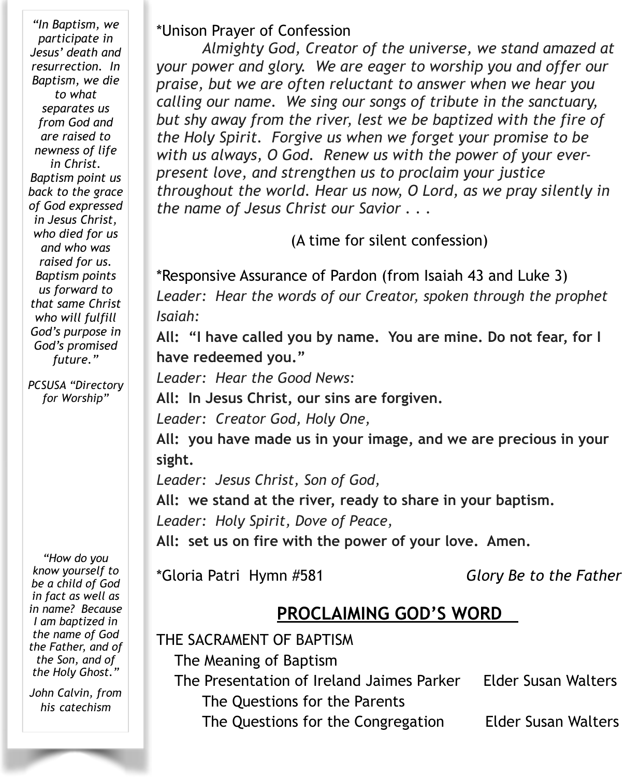*"In Baptism, we participate in Jesus' death and resurrection. In Baptism, we die to what separates us from God and are raised to newness of life in Christ. Baptism point us back to the grace of God expressed in Jesus Christ, who died for us and who was raised for us. Baptism points us forward to that same Christ who will fulfill God's purpose in God's promised future."* 

*PCSUSA "Directory for Worship"* 

*"How do you know yourself to be a child of God in fact as well as in name? Because I am baptized in the name of God the Father, and of the Son, and of the Holy Ghost."* 

*John Calvin, from his catechism*

#### \*Unison Prayer of Confession

*Almighty God, Creator of the universe, we stand amazed at your power and glory. We are eager to worship you and offer our praise, but we are often reluctant to answer when we hear you calling our name. We sing our songs of tribute in the sanctuary, but shy away from the river, lest we be baptized with the fire of the Holy Spirit. Forgive us when we forget your promise to be with us always, O God. Renew us with the power of your everpresent love, and strengthen us to proclaim your justice throughout the world. Hear us now, O Lord, as we pray silently in the name of Jesus Christ our Savior . . .*

(A time for silent confession)

\*Responsive Assurance of Pardon (from Isaiah 43 and Luke 3) *Leader: Hear the words of our Creator, spoken through the prophet Isaiah:*

**All: "I have called you by name. You are mine. Do not fear, for I have redeemed you."** 

*Leader: Hear the Good News:* 

**All: In Jesus Christ, our sins are forgiven.** 

*Leader: Creator God, Holy One,*

**All: you have made us in your image, and we are precious in your sight.**

*Leader: Jesus Christ, Son of God,*

**All: we stand at the river, ready to share in your baptism.**

*Leader: Holy Spirit, Dove of Peace,*

**All: set us on fire with the power of your love. Amen.**

\*Gloria Patri Hymn #581 *Glory Be to the Father*

#### **PROCLAIMING GOD'S WORD**

THE SACRAMENT OF BAPTISM

The Meaning of Baptism

 The Presentation of Ireland Jaimes Parker Elder Susan Walters The Questions for the Parents

The Questions for the Congregation Elder Susan Walters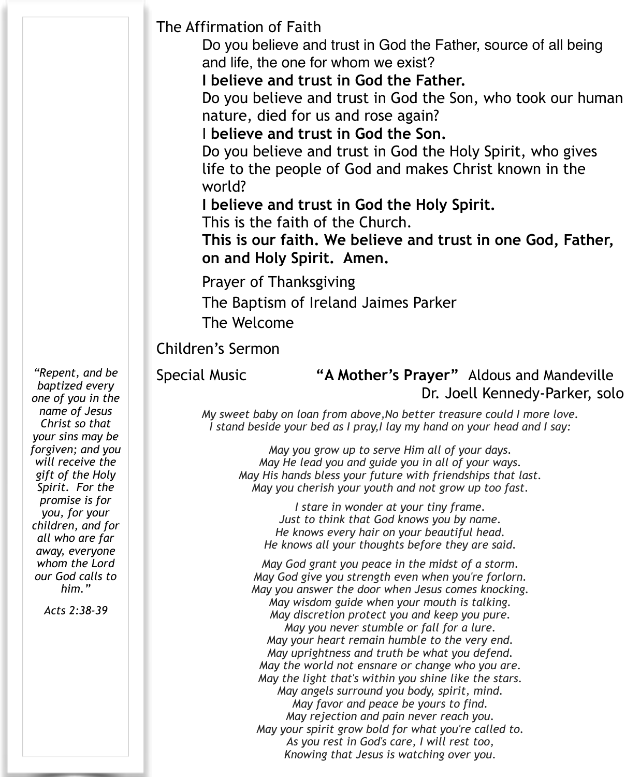The Affirmation of Faith

Do you believe and trust in God the Father, source of all being and life, the one for whom we exist?

**I believe and trust in God the Father.**

Do you believe and trust in God the Son, who took our human nature, died for us and rose again?

I **believe and trust in God the Son.**

Do you believe and trust in God the Holy Spirit, who gives life to the people of God and makes Christ known in the world?

**I believe and trust in God the Holy Spirit.**

This is the faith of the Church.

**This is our faith. We believe and trust in one God, Father, on and Holy Spirit. Amen.**

Prayer of Thanksgiving

The Baptism of Ireland Jaimes Parker

The Welcome

#### Children's Sermon

#### Special Music **"A Mother's Prayer"** Aldous and Mandeville Dr. Joell Kennedy-Parker, solo

*My sweet baby on loan from above,No better treasure could I more love. I stand beside your bed as I pray,I lay my hand on your head and I say:*

*May you grow up to serve Him all of your days. May He lead you and guide you in all of your ways. May His hands bless your future with friendships that last. May you cherish your youth and not grow up too fast.*

*I stare in wonder at your tiny frame. Just to think that God knows you by name. He knows every hair on your beautiful head. He knows all your thoughts before they are said.*

*May God grant you peace in the midst of a storm. May God give you strength even when you're forlorn. May you answer the door when Jesus comes knocking. May wisdom guide when your mouth is talking. May discretion protect you and keep you pure. May you never stumble or fall for a lure. May your heart remain humble to the very end. May uprightness and truth be what you defend. May the world not ensnare or change who you are. May the light that's within you shine like the stars. May angels surround you body, spirit, mind. May favor and peace be yours to find. May rejection and pain never reach you. May your spirit grow bold for what you're called to. As you rest in God's care, I will rest too, Knowing that Jesus is watching over you.* 

*"Repent, and be baptized every one of you in the name of Jesus Christ so that your sins may be forgiven; and you will receive the gift of the Holy Spirit. For the promise is for you, for your children, and for all who are far away, everyone whom the Lord our God calls to him."* 

*Acts 2:38-39*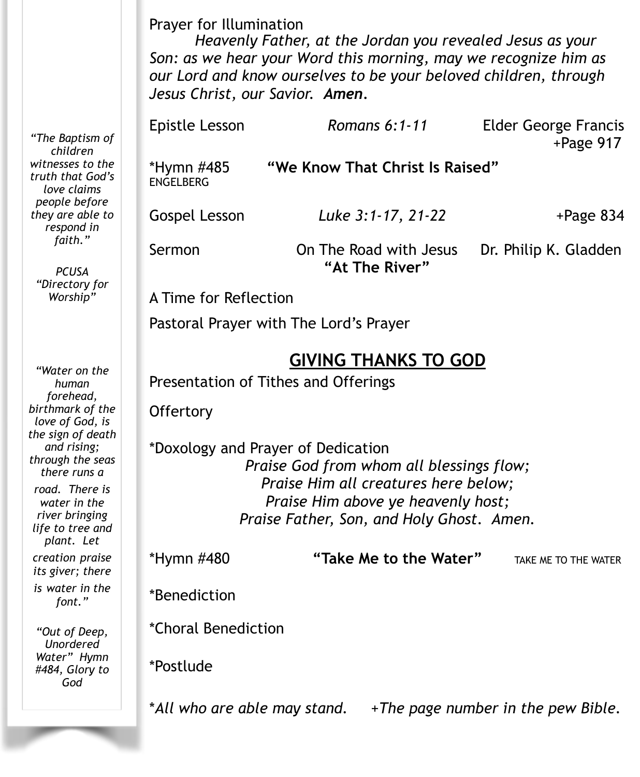Prayer for Illumination

*Heavenly Father, at the Jordan you revealed Jesus as your Son: as we hear your Word this morning, may we recognize him as our Lord and know ourselves to be your beloved children, through Jesus Christ, our Savior. Amen.*

| Epistle Lesson                                                                                                                                                                                            | Romans $6:1-11$                          | <b>Elder George Francis</b><br>$+$ Page 917 |  |  |
|-----------------------------------------------------------------------------------------------------------------------------------------------------------------------------------------------------------|------------------------------------------|---------------------------------------------|--|--|
| "We Know That Christ Is Raised"<br>*Hymn #485<br><b>ENGELBERG</b>                                                                                                                                         |                                          |                                             |  |  |
| Gospel Lesson                                                                                                                                                                                             | Luke 3:1-17, 21-22                       | $+$ Page 834                                |  |  |
| Sermon                                                                                                                                                                                                    | On The Road with Jesus<br>"At The River" | Dr. Philip K. Gladden                       |  |  |
| A Time for Reflection                                                                                                                                                                                     |                                          |                                             |  |  |
| Pastoral Prayer with The Lord's Prayer                                                                                                                                                                    |                                          |                                             |  |  |
| <b>GIVING THANKS TO GOD</b><br>Presentation of Tithes and Offerings                                                                                                                                       |                                          |                                             |  |  |
| Offertory                                                                                                                                                                                                 |                                          |                                             |  |  |
| *Doxology and Prayer of Dedication<br>Praise God from whom all blessings flow;<br>Praise Him all creatures here below;<br>Praise Him above ye heavenly host;<br>Praise Father, Son, and Holy Ghost. Amen. |                                          |                                             |  |  |
| *Hymn #480                                                                                                                                                                                                | "Take Me to the Water"                   | TAKE ME TO THE WATER                        |  |  |
| *Benediction                                                                                                                                                                                              |                                          |                                             |  |  |
| *Choral Benediction                                                                                                                                                                                       |                                          |                                             |  |  |
| *Postlude                                                                                                                                                                                                 |                                          |                                             |  |  |

\**All who are able may stand.* +*The page number in the pew Bible.* 

*"The Baptism of children witnesses to the truth that God's love claims people before they are able to respond in faith."* 

*PCUSA "Directory for Worship"* 

*"Water on the human forehead, birthmark of the love of God, is the sign of death and rising; through the seas there runs a road. There is water in the river bringing life to tree and plant. Let creation praise its giver; there is water in the* 

*font."*

*"Out of Deep, Unordered Water" Hymn #484, Glory to God*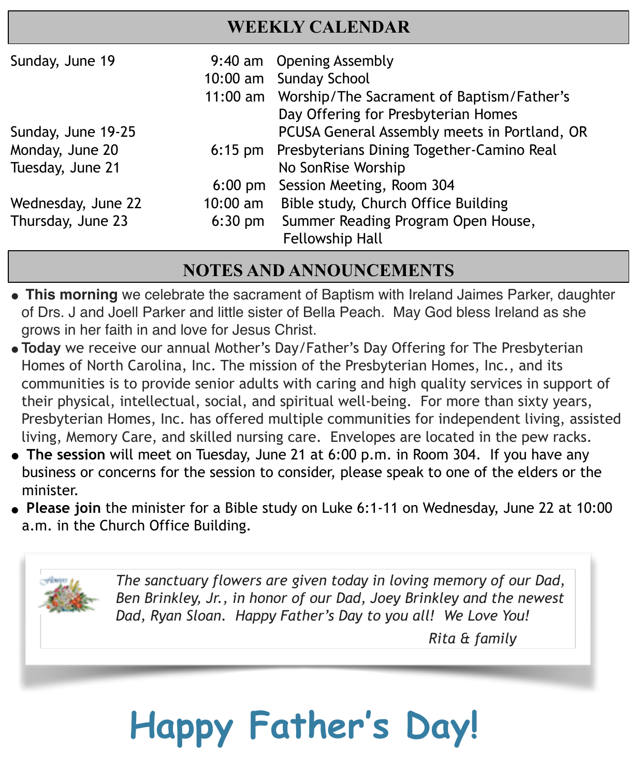#### **WEEKLY CALENDAR**

| Sunday, June 19    |                   | 9:40 am Opening Assembly                           |
|--------------------|-------------------|----------------------------------------------------|
|                    |                   | 10:00 am Sunday School                             |
|                    |                   | 11:00 am Worship/The Sacrament of Baptism/Father's |
|                    |                   | Day Offering for Presbyterian Homes                |
| Sunday, June 19-25 |                   | PCUSA General Assembly meets in Portland, OR       |
| Monday, June 20    | $6:15$ pm         | Presbyterians Dining Together-Camino Real          |
| Tuesday, June 21   |                   | No SonRise Worship                                 |
|                    | $6:00 \text{ pm}$ | Session Meeting, Room 304                          |
| Wednesday, June 22 | $10:00$ am        | Bible study, Church Office Building                |
| Thursday, June 23  | $6:30$ pm         | Summer Reading Program Open House,                 |
|                    |                   | <b>Fellowship Hall</b>                             |
|                    |                   |                                                    |

### **NOTES AND ANNOUNCEMENTS**

- **" This morning** we celebrate the sacrament of Baptism with Ireland Jaimes Parker, daughter of Drs. J and Joell Parker and little sister of Bella Peach. May God bless Ireland as she grows in her faith in and love for Jesus Christ.
- **"Today** we receive our annual Mother's Day/Father's Day Offering for The Presbyterian Homes of North Carolina, Inc. The mission of the Presbyterian Homes, Inc., and its communities is to provide senior adults with caring and high quality services in support of their physical, intellectual, social, and spiritual well-being. For more than sixty years, Presbyterian Homes, Inc. has offered multiple communities for independent living, assisted living, Memory Care, and skilled nursing care. Envelopes are located in the pew racks.
- **The session** will meet on Tuesday, June 21 at 6:00 p.m. in Room 304. If you have any business or concerns for the session to consider, please speak to one of the elders or the minister.
- **Please join** the minister for a Bible study on Luke 6:1-11 on Wednesday, June 22 at 10:00 a.m. in the Church Office Building.



*The sanctuary flowers are given today in loving memory of our Dad, Ben Brinkley, Jr., in honor of our Dad, Joey Brinkley and the newest Dad, Ryan Sloan. Happy Father's Day to you all! We Love You!*

 *Rita & family*

# **Happy Father's Day!**